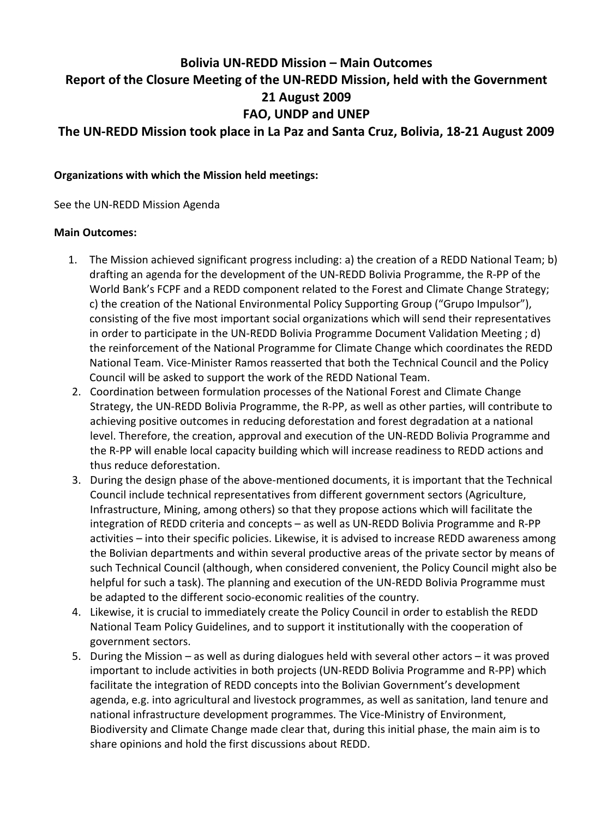## **Bolivia UN-REDD Mission – Main Outcomes Report of the Closure Meeting of the UN-REDD Mission, held with the Government 21 August 2009 FAO, UNDP and UNEP**

**The UN-REDD Mission took place in La Paz and Santa Cruz, Bolivia, 18-21 August 2009**

**Organizations with which the Mission held meetings:**

See the UN-REDD Mission Agenda

## **Main Outcomes:**

- 1. The Mission achieved significant progress including: a) the creation of a REDD National Team; b) drafting an agenda for the development of the UN-REDD Bolivia Programme, the R-PP of the World Bank's FCPF and a REDD component related to the Forest and Climate Change Strategy; c) the creation of the National Environmental Policy Supporting Group ("Grupo Impulsor"), consisting of the five most important social organizations which will send their representatives in order to participate in the UN-REDD Bolivia Programme Document Validation Meeting ; d) the reinforcement of the National Programme for Climate Change which coordinates the REDD National Team. Vice-Minister Ramos reasserted that both the Technical Council and the Policy Council will be asked to support the work of the REDD National Team.
- 2. Coordination between formulation processes of the National Forest and Climate Change Strategy, the UN-REDD Bolivia Programme, the R-PP, as well as other parties, will contribute to achieving positive outcomes in reducing deforestation and forest degradation at a national level. Therefore, the creation, approval and execution of the UN-REDD Bolivia Programme and the R-PP will enable local capacity building which will increase readiness to REDD actions and thus reduce deforestation.
- 3. During the design phase of the above-mentioned documents, it is important that the Technical Council include technical representatives from different government sectors (Agriculture, Infrastructure, Mining, among others) so that they propose actions which will facilitate the integration of REDD criteria and concepts – as well as UN-REDD Bolivia Programme and R-PP activities – into their specific policies. Likewise, it is advised to increase REDD awareness among the Bolivian departments and within several productive areas of the private sector by means of such Technical Council (although, when considered convenient, the Policy Council might also be helpful for such a task). The planning and execution of the UN-REDD Bolivia Programme must be adapted to the different socio-economic realities of the country.
- 4. Likewise, it is crucial to immediately create the Policy Council in order to establish the REDD National Team Policy Guidelines, and to support it institutionally with the cooperation of government sectors.
- 5. During the Mission as well as during dialogues held with several other actors it was proved important to include activities in both projects (UN-REDD Bolivia Programme and R-PP) which facilitate the integration of REDD concepts into the Bolivian Government's development agenda, e.g. into agricultural and livestock programmes, as well as sanitation, land tenure and national infrastructure development programmes. The Vice-Ministry of Environment, Biodiversity and Climate Change made clear that, during this initial phase, the main aim is to share opinions and hold the first discussions about REDD.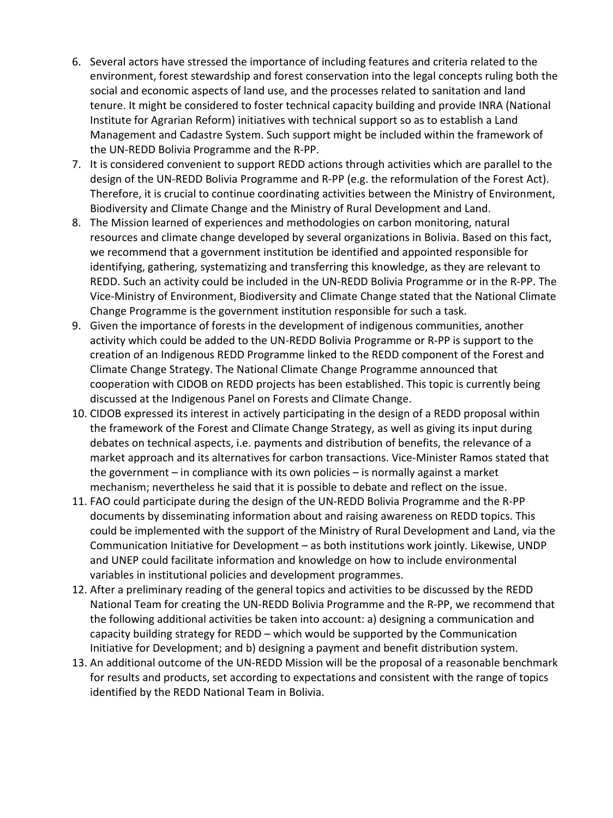- 6. Several actors have stressed the importance of including features and criteria related to the environment, forest stewardship and forest conservation into the legal concepts ruling both the social and economic aspects of land use, and the processes related to sanitation and land tenure. It might be considered to foster technical capacity building and provide INRA (National Institute for Agrarian Reform) initiatives with technical support so as to establish a Land Management and Cadastre System. Such support might be included within the framework of the UN-REDD Bolivia Programme and the R-PP.
- 7. It is considered convenient to support REDD actions through activities which are parallel to the design of the UN-REDD Bolivia Programme and R-PP (e.g. the reformulation of the Forest Act). Therefore, it is crucial to continue coordinating activities between the Ministry of Environment, Biodiversity and Climate Change and the Ministry of Rural Development and Land.
- 8. The Mission learned of experiences and methodologies on carbon monitoring, natural resources and climate change developed by several organizations in Bolivia. Based on this fact, we recommend that a government institution be identified and appointed responsible for identifying, gathering, systematizing and transferring this knowledge, as they are relevant to REDD. Such an activity could be included in the UN-REDD Bolivia Programme or in the R-PP. The Vice-Ministry of Environment, Biodiversity and Climate Change stated that the National Climate Change Programme is the government institution responsible for such a task.
- 9. Given the importance of forests in the development of indigenous communities, another activity which could be added to the UN-REDD Bolivia Programme or R-PP is support to the creation of an Indigenous REDD Programme linked to the REDD component of the Forest and Climate Change Strategy. The National Climate Change Programme announced that cooperation with CIDOB on REDD projects has been established. This topic is currently being discussed at the Indigenous Panel on Forests and Climate Change.
- 10. CIDOB expressed its interest in actively participating in the design of a REDD proposal within the framework of the Forest and Climate Change Strategy, as well as giving its input during debates on technical aspects, i.e. payments and distribution of benefits, the relevance of a market approach and its alternatives for carbon transactions. Vice-Minister Ramos stated that the government – in compliance with its own policies – is normally against a market mechanism; nevertheless he said that it is possible to debate and reflect on the issue.
- 11. FAO could participate during the design of the UN-REDD Bolivia Programme and the R-PP documents by disseminating information about and raising awareness on REDD topics. This could be implemented with the support of the Ministry of Rural Development and Land, via the Communication Initiative for Development – as both institutions work jointly. Likewise, UNDP and UNEP could facilitate information and knowledge on how to include environmental variables in institutional policies and development programmes.
- 12. After a preliminary reading of the general topics and activities to be discussed by the REDD National Team for creating the UN-REDD Bolivia Programme and the R-PP, we recommend that the following additional activities be taken into account: a) designing a communication and capacity building strategy for REDD – which would be supported by the Communication Initiative for Development; and b) designing a payment and benefit distribution system.
- 13. An additional outcome of the UN-REDD Mission will be the proposal of a reasonable benchmark for results and products, set according to expectations and consistent with the range of topics identified by the REDD National Team in Bolivia.